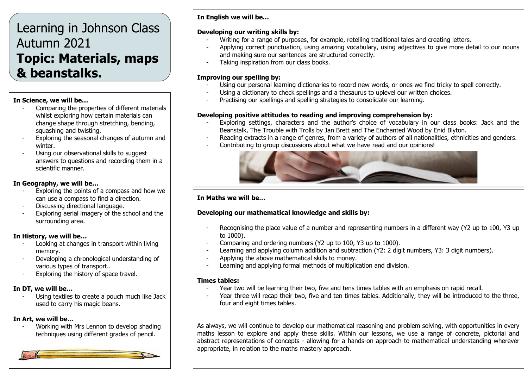# Learning in Johnson Class Autumn 2021 **Topic: Materials, maps & beanstalks.**

#### **In Science, we will be…**

- Comparing the properties of different materials whilst exploring how certain materials can change shape through stretching, bending, squashing and twisting.
- Exploring the seasonal changes of autumn and winter.
- Using our observational skills to suggest answers to questions and recording them in a scientific manner.

## **In Geography, we will be…**

- Exploring the points of a compass and how we can use a compass to find a direction.
- Discussing directional language.
- Exploring aerial imagery of the school and the surrounding area.

# **In History, we will be…**

- Looking at changes in transport within living memory.
- Developing a chronological understanding of various types of transport..
- Exploring the history of space travel.

# **In DT, we will be…**

- Using textiles to create a pouch much like Jack used to carry his magic beans.

## **In Art, we will be…**

- Working with Mrs Lennon to develop shading techniques using different grades of pencil.



## **In English we will be…**

### **Developing our writing skills by:**

- Writing for a range of purposes, for example, retelling traditional tales and creating letters.
- Applying correct punctuation, using amazing vocabulary, using adjectives to give more detail to our nouns and making sure our sentences are structured correctly.
- Taking inspiration from our class books.

## **Improving our spelling by:**

- Using our personal learning dictionaries to record new words, or ones we find tricky to spell correctly.
- Using a dictionary to check spellings and a thesaurus to uplevel our written choices.
- Practising our spellings and spelling strategies to consolidate our learning.

## **Developing positive attitudes to reading and improving comprehension by:**

- Exploring settings, characters and the author's choice of vocabulary in our class books: Jack and the Beanstalk, The Trouble with Trolls by Jan Brett and The Enchanted Wood by Enid Blyton.
- Reading extracts in a range of genres, from a variety of authors of all nationalities, ethnicities and genders.
- Contributing to group discussions about what we have read and our opinions!



# **In Maths we will be…**

# **Developing our mathematical knowledge and skills by:**

- Recognising the place value of a number and representing numbers in a different way (Y2 up to 100, Y3 up to 1000).
- Comparing and ordering numbers (Y2 up to 100, Y3 up to 1000).
- Learning and applying column addition and subtraction (Y2: 2 digit numbers, Y3: 3 digit numbers).
- Applying the above mathematical skills to money.
- Learning and applying formal methods of multiplication and division.

## **Times tables:**

- Year two will be learning their two, five and tens times tables with an emphasis on rapid recall.
- Year three will recap their two, five and ten times tables. Additionally, they will be introduced to the three, four and eight times tables.

As always, we will continue to develop our mathematical reasoning and problem solving, with opportunities in every maths lesson to explore and apply these skills. Within our lessons, we use a range of concrete, pictorial and abstract representations of concepts - allowing for a hands-on approach to mathematical understanding wherever appropriate, in relation to the maths mastery approach.